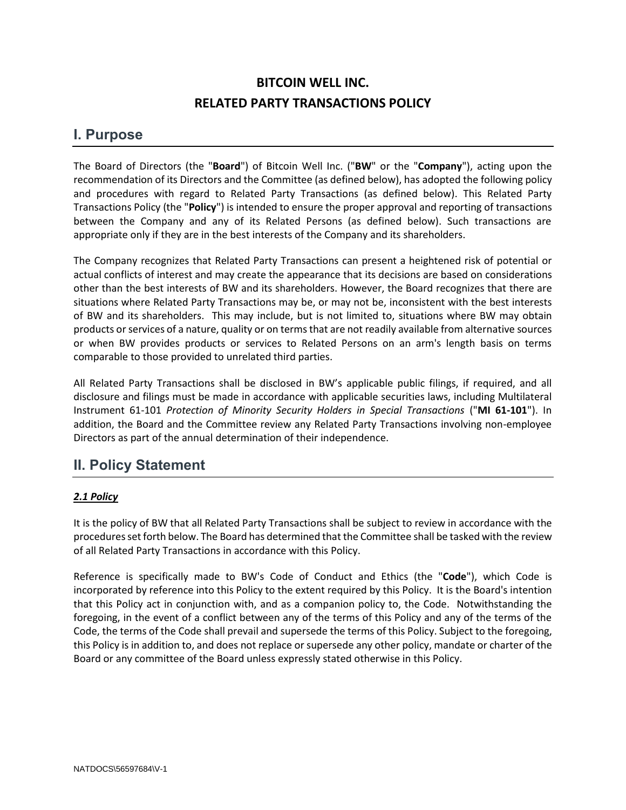# **BITCOIN WELL INC. RELATED PARTY TRANSACTIONS POLICY**

### **I. Purpose**

The Board of Directors (the "**Board**") of Bitcoin Well Inc. ("**BW**" or the "**Company**"), acting upon the recommendation of its Directors and the Committee (as defined below), has adopted the following policy and procedures with regard to Related Party Transactions (as defined below). This Related Party Transactions Policy (the "**Policy**") is intended to ensure the proper approval and reporting of transactions between the Company and any of its Related Persons (as defined below). Such transactions are appropriate only if they are in the best interests of the Company and its shareholders.

The Company recognizes that Related Party Transactions can present a heightened risk of potential or actual conflicts of interest and may create the appearance that its decisions are based on considerations other than the best interests of BW and its shareholders. However, the Board recognizes that there are situations where Related Party Transactions may be, or may not be, inconsistent with the best interests of BW and its shareholders. This may include, but is not limited to, situations where BW may obtain products or services of a nature, quality or on terms that are not readily available from alternative sources or when BW provides products or services to Related Persons on an arm's length basis on terms comparable to those provided to unrelated third parties.

All Related Party Transactions shall be disclosed in BW's applicable public filings, if required, and all disclosure and filings must be made in accordance with applicable securities laws, including Multilateral Instrument 61-101 *Protection of Minority Security Holders in Special Transactions* ("**MI 61-101**"). In addition, the Board and the Committee review any Related Party Transactions involving non-employee Directors as part of the annual determination of their independence.

## **II. Policy Statement**

### *2.1 Policy*

It is the policy of BW that all Related Party Transactions shall be subject to review in accordance with the procedures set forth below. The Board has determined that the Committee shall be tasked with the review of all Related Party Transactions in accordance with this Policy.

Reference is specifically made to BW's Code of Conduct and Ethics (the "**Code**"), which Code is incorporated by reference into this Policy to the extent required by this Policy. It is the Board's intention that this Policy act in conjunction with, and as a companion policy to, the Code. Notwithstanding the foregoing, in the event of a conflict between any of the terms of this Policy and any of the terms of the Code, the terms of the Code shall prevail and supersede the terms of this Policy. Subject to the foregoing, this Policy is in addition to, and does not replace or supersede any other policy, mandate or charter of the Board or any committee of the Board unless expressly stated otherwise in this Policy.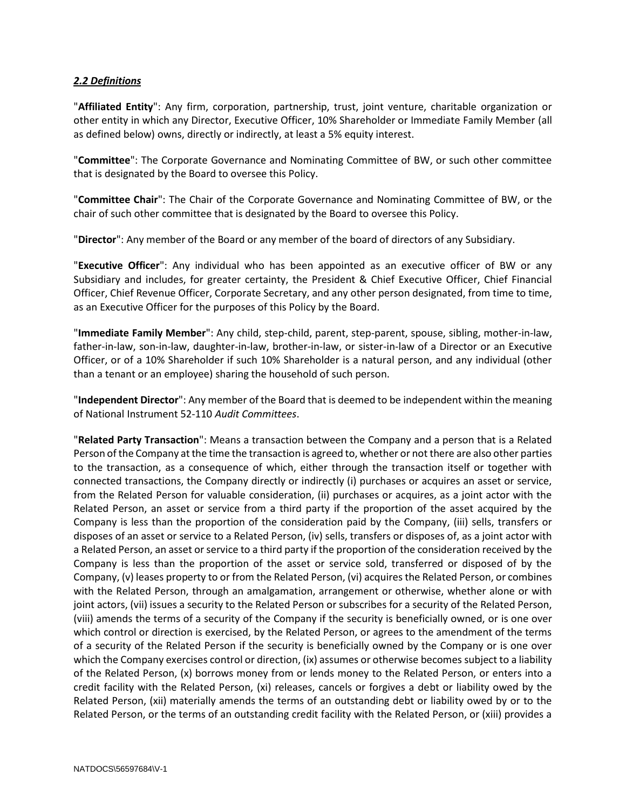#### *2.2 Definitions*

"**Affiliated Entity**": Any firm, corporation, partnership, trust, joint venture, charitable organization or other entity in which any Director, Executive Officer, 10% Shareholder or Immediate Family Member (all as defined below) owns, directly or indirectly, at least a 5% equity interest.

"**Committee**": The Corporate Governance and Nominating Committee of BW, or such other committee that is designated by the Board to oversee this Policy.

"**Committee Chair**": The Chair of the Corporate Governance and Nominating Committee of BW, or the chair of such other committee that is designated by the Board to oversee this Policy.

"**Director**": Any member of the Board or any member of the board of directors of any Subsidiary.

"**Executive Officer**": Any individual who has been appointed as an executive officer of BW or any Subsidiary and includes, for greater certainty, the President & Chief Executive Officer, Chief Financial Officer, Chief Revenue Officer, Corporate Secretary, and any other person designated, from time to time, as an Executive Officer for the purposes of this Policy by the Board.

"**Immediate Family Member**": Any child, step-child, parent, step-parent, spouse, sibling, mother-in-law, father-in-law, son-in-law, daughter-in-law, brother-in-law, or sister-in-law of a Director or an Executive Officer, or of a 10% Shareholder if such 10% Shareholder is a natural person, and any individual (other than a tenant or an employee) sharing the household of such person.

"**Independent Director**": Any member of the Board that is deemed to be independent within the meaning of National Instrument 52-110 *Audit Committees*.

"**Related Party Transaction**": Means a transaction between the Company and a person that is a Related Person of the Company at the time the transaction is agreed to, whether or not there are also other parties to the transaction, as a consequence of which, either through the transaction itself or together with connected transactions, the Company directly or indirectly (i) purchases or acquires an asset or service, from the Related Person for valuable consideration, (ii) purchases or acquires, as a joint actor with the Related Person, an asset or service from a third party if the proportion of the asset acquired by the Company is less than the proportion of the consideration paid by the Company, (iii) sells, transfers or disposes of an asset or service to a Related Person, (iv) sells, transfers or disposes of, as a joint actor with a Related Person, an asset or service to a third party if the proportion of the consideration received by the Company is less than the proportion of the asset or service sold, transferred or disposed of by the Company, (v) leases property to or from the Related Person, (vi) acquires the Related Person, or combines with the Related Person, through an amalgamation, arrangement or otherwise, whether alone or with joint actors, (vii) issues a security to the Related Person or subscribes for a security of the Related Person, (viii) amends the terms of a security of the Company if the security is beneficially owned, or is one over which control or direction is exercised, by the Related Person, or agrees to the amendment of the terms of a security of the Related Person if the security is beneficially owned by the Company or is one over which the Company exercises control or direction, (ix) assumes or otherwise becomes subject to a liability of the Related Person, (x) borrows money from or lends money to the Related Person, or enters into a credit facility with the Related Person, (xi) releases, cancels or forgives a debt or liability owed by the Related Person, (xii) materially amends the terms of an outstanding debt or liability owed by or to the Related Person, or the terms of an outstanding credit facility with the Related Person, or (xiii) provides a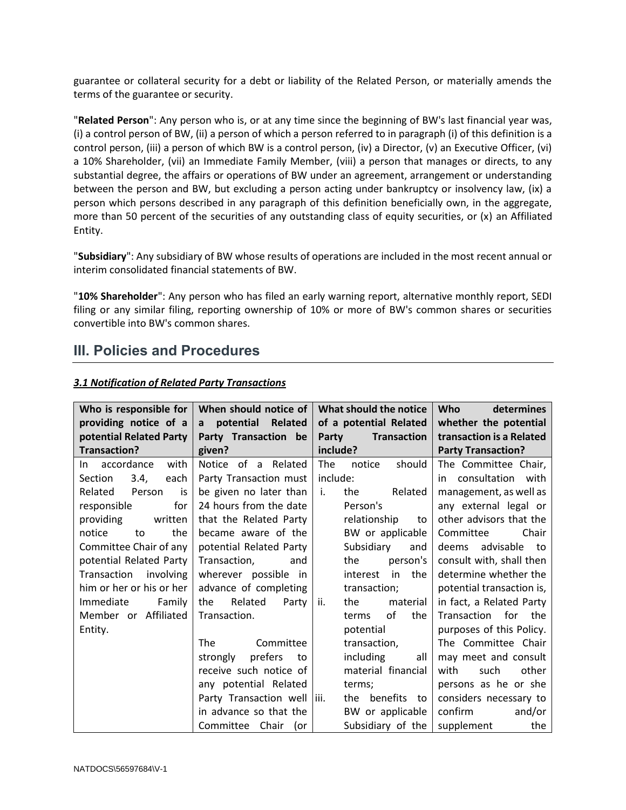guarantee or collateral security for a debt or liability of the Related Person, or materially amends the terms of the guarantee or security.

"**Related Person**": Any person who is, or at any time since the beginning of BW's last financial year was, (i) a control person of BW, (ii) a person of which a person referred to in paragraph (i) of this definition is a control person, (iii) a person of which BW is a control person, (iv) a Director, (v) an Executive Officer, (vi) a 10% Shareholder, (vii) an Immediate Family Member, (viii) a person that manages or directs, to any substantial degree, the affairs or operations of BW under an agreement, arrangement or understanding between the person and BW, but excluding a person acting under bankruptcy or insolvency law, (ix) a person which persons described in any paragraph of this definition beneficially own, in the aggregate, more than 50 percent of the securities of any outstanding class of equity securities, or (x) an Affiliated Entity.

"**Subsidiary**": Any subsidiary of BW whose results of operations are included in the most recent annual or interim consolidated financial statements of BW.

"**10% Shareholder**": Any person who has filed an early warning report, alternative monthly report, SEDI filing or any similar filing, reporting ownership of 10% or more of BW's common shares or securities convertible into BW's common shares.

### **III. Policies and Procedures**

| Who is responsible for         | When should notice of        | What should the notice      | <b>Who</b><br>determines  |
|--------------------------------|------------------------------|-----------------------------|---------------------------|
| providing notice of a          | a potential<br>Related       | of a potential Related      | whether the potential     |
| potential Related Party        | Party Transaction be         | Party<br><b>Transaction</b> | transaction is a Related  |
| <b>Transaction?</b>            | given?                       | include?                    | <b>Party Transaction?</b> |
| with<br>In accordance          | Notice of a Related          | The<br>should<br>notice     | The Committee Chair,      |
| 3.4,<br><b>Section</b><br>each | Party Transaction must       | include:                    | in consultation<br>with   |
| Related<br>Person<br>is        | be given no later than       | the<br>Related<br>i.        | management, as well as    |
| for<br>responsible             | 24 hours from the date       | Person's                    | any external legal or     |
| providing<br>written           | that the Related Party       | relationship<br>to          | other advisors that the   |
| the<br>notice<br>to            | became aware of the          | BW or applicable            | Committee<br>Chair        |
| Committee Chair of any         | potential Related Party      | Subsidiary<br>and           | advisable to<br>deems     |
| potential Related Party        | Transaction.<br>and          | the<br>person's             | consult with, shall then  |
| Transaction<br>involving       | wherever possible in         | the<br>interest<br>in       | determine whether the     |
| him or her or his or her       | advance of completing        | transaction;                | potential transaction is, |
| Immediate<br>Family            | Related<br>the<br>Party      | the<br>material<br>ii.      | in fact, a Related Party  |
| Member or Affiliated           | Transaction.                 | οf<br>the<br>terms          | Transaction for the       |
| Entity.                        |                              | potential                   | purposes of this Policy.  |
|                                | Committee<br>The             | transaction,                | The Committee Chair       |
|                                | prefers<br>strongly<br>to    | including<br>all            | may meet and consult      |
|                                | receive such notice of       | material financial          | other<br>such<br>with     |
|                                | any potential Related        | terms;                      | persons as he or she      |
|                                | Party Transaction well  iii. | the benefits to             | considers necessary to    |
|                                | in advance so that the       | BW or applicable            | confirm<br>and/or         |
|                                | Committee Chair (or          | Subsidiary of the           | supplement<br>the         |

#### *3.1 Notification of Related Party Transactions*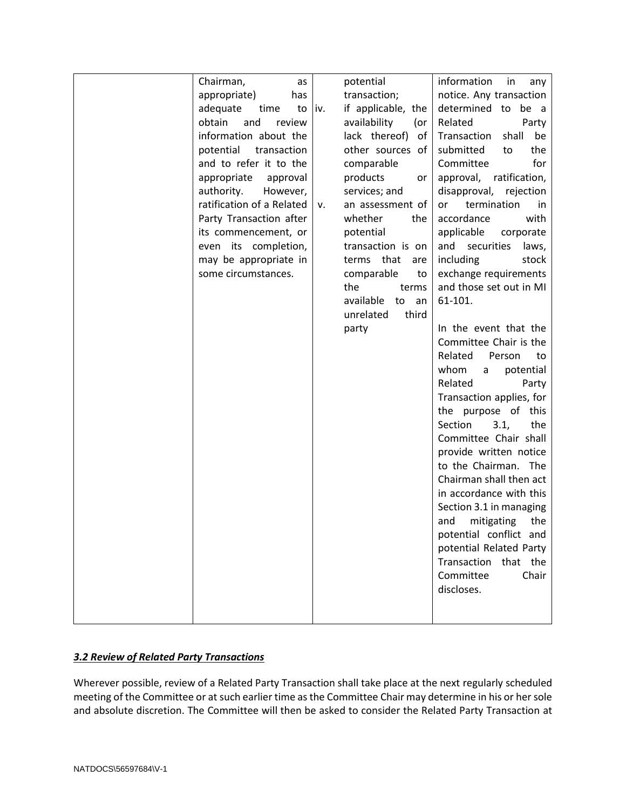| Chairman,<br>as           |     | potential             | information<br>in<br>any   |
|---------------------------|-----|-----------------------|----------------------------|
| appropriate)<br>has       |     | transaction;          | notice. Any transaction    |
| adequate<br>time<br>to    | iv. | if applicable, the    | determined to be a         |
| obtain<br>and<br>review   |     | availability<br>(or   | Related<br>Party           |
| information about the     |     | lack thereof)<br>of   | Transaction<br>shall<br>be |
| potential<br>transaction  |     | other sources of      | submitted<br>the<br>to     |
| and to refer it to the    |     | comparable            | for<br>Committee           |
| appropriate<br>approval   |     | products<br>or        | approval, ratification,    |
| authority.<br>However,    |     | services; and         | disapproval,<br>rejection  |
| ratification of a Related | ۷.  | an assessment of      | termination<br>or<br>in    |
| Party Transaction after   |     | whether<br>the        | accordance<br>with         |
| its commencement, or      |     | potential             | applicable<br>corporate    |
| even its completion,      |     | transaction is on     | and<br>securities<br>laws, |
| may be appropriate in     |     | terms that<br>are     | including<br>stock         |
| some circumstances.       |     | comparable<br>to      | exchange requirements      |
|                           |     | the<br>terms          | and those set out in MI    |
|                           |     | available<br>to<br>an | 61-101.                    |
|                           |     | unrelated<br>third    |                            |
|                           |     | party                 | In the event that the      |
|                           |     |                       | Committee Chair is the     |
|                           |     |                       | Related<br>Person<br>to    |
|                           |     |                       | whom<br>potential<br>a     |
|                           |     |                       | Related<br>Party           |
|                           |     |                       | Transaction applies, for   |
|                           |     |                       | the purpose of this        |
|                           |     |                       | Section<br>3.1,<br>the     |
|                           |     |                       | Committee Chair shall      |
|                           |     |                       | provide written notice     |
|                           |     |                       | to the Chairman.<br>The    |
|                           |     |                       | Chairman shall then act    |
|                           |     |                       | in accordance with this    |
|                           |     |                       | Section 3.1 in managing    |
|                           |     |                       | mitigating<br>and<br>the   |
|                           |     |                       | potential conflict and     |
|                           |     |                       | potential Related Party    |
|                           |     |                       | Transaction that the       |
|                           |     |                       | Chair<br>Committee         |
|                           |     |                       | discloses.                 |
|                           |     |                       |                            |
|                           |     |                       |                            |

#### *3.2 Review of Related Party Transactions*

Wherever possible, review of a Related Party Transaction shall take place at the next regularly scheduled meeting of the Committee or at such earlier time as the Committee Chair may determine in his or her sole and absolute discretion. The Committee will then be asked to consider the Related Party Transaction at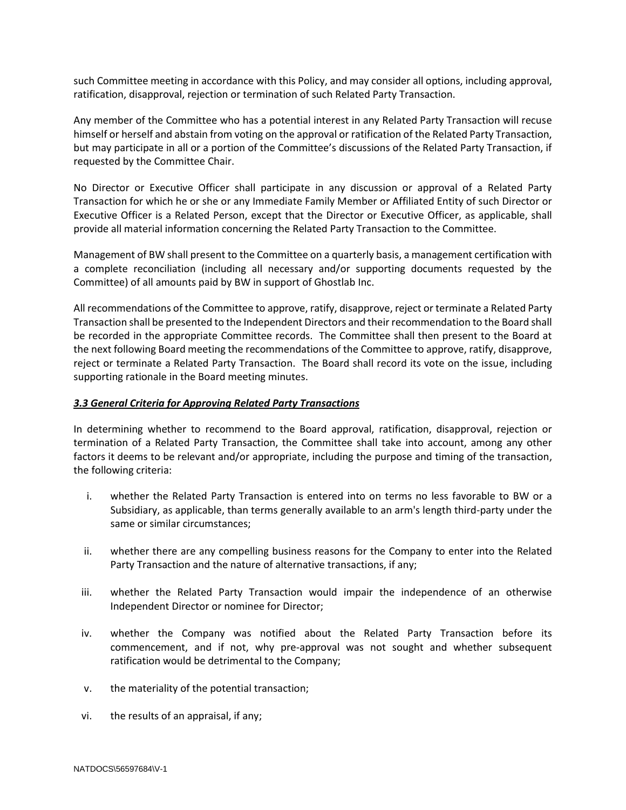such Committee meeting in accordance with this Policy, and may consider all options, including approval, ratification, disapproval, rejection or termination of such Related Party Transaction.

Any member of the Committee who has a potential interest in any Related Party Transaction will recuse himself or herself and abstain from voting on the approval or ratification of the Related Party Transaction, but may participate in all or a portion of the Committee's discussions of the Related Party Transaction, if requested by the Committee Chair.

No Director or Executive Officer shall participate in any discussion or approval of a Related Party Transaction for which he or she or any Immediate Family Member or Affiliated Entity of such Director or Executive Officer is a Related Person, except that the Director or Executive Officer, as applicable, shall provide all material information concerning the Related Party Transaction to the Committee.

Management of BW shall present to the Committee on a quarterly basis, a management certification with a complete reconciliation (including all necessary and/or supporting documents requested by the Committee) of all amounts paid by BW in support of Ghostlab Inc.

All recommendations of the Committee to approve, ratify, disapprove, reject or terminate a Related Party Transaction shall be presented to the Independent Directors and their recommendation to the Board shall be recorded in the appropriate Committee records. The Committee shall then present to the Board at the next following Board meeting the recommendations of the Committee to approve, ratify, disapprove, reject or terminate a Related Party Transaction. The Board shall record its vote on the issue, including supporting rationale in the Board meeting minutes.

#### *3.3 General Criteria for Approving Related Party Transactions*

In determining whether to recommend to the Board approval, ratification, disapproval, rejection or termination of a Related Party Transaction, the Committee shall take into account, among any other factors it deems to be relevant and/or appropriate, including the purpose and timing of the transaction, the following criteria:

- i. whether the Related Party Transaction is entered into on terms no less favorable to BW or a Subsidiary, as applicable, than terms generally available to an arm's length third-party under the same or similar circumstances;
- ii. whether there are any compelling business reasons for the Company to enter into the Related Party Transaction and the nature of alternative transactions, if any;
- iii. whether the Related Party Transaction would impair the independence of an otherwise Independent Director or nominee for Director;
- iv. whether the Company was notified about the Related Party Transaction before its commencement, and if not, why pre-approval was not sought and whether subsequent ratification would be detrimental to the Company;
- v. the materiality of the potential transaction;
- vi. the results of an appraisal, if any;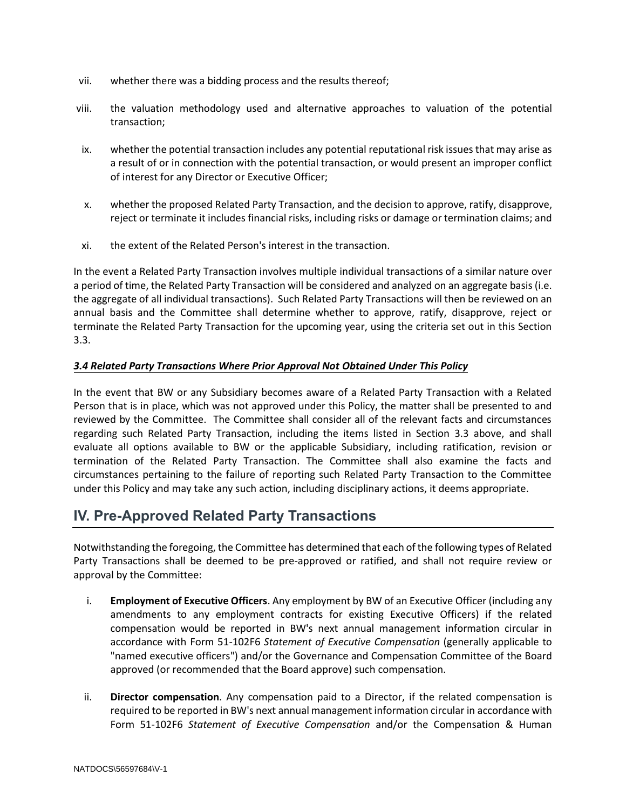- vii. whether there was a bidding process and the results thereof;
- viii. the valuation methodology used and alternative approaches to valuation of the potential transaction;
- ix. whether the potential transaction includes any potential reputational risk issues that may arise as a result of or in connection with the potential transaction, or would present an improper conflict of interest for any Director or Executive Officer;
- x. whether the proposed Related Party Transaction, and the decision to approve, ratify, disapprove, reject or terminate it includes financial risks, including risks or damage or termination claims; and
- xi. the extent of the Related Person's interest in the transaction.

In the event a Related Party Transaction involves multiple individual transactions of a similar nature over a period of time, the Related Party Transaction will be considered and analyzed on an aggregate basis (i.e. the aggregate of all individual transactions). Such Related Party Transactions will then be reviewed on an annual basis and the Committee shall determine whether to approve, ratify, disapprove, reject or terminate the Related Party Transaction for the upcoming year, using the criteria set out in this Section 3.3.

#### *3.4 Related Party Transactions Where Prior Approval Not Obtained Under This Policy*

In the event that BW or any Subsidiary becomes aware of a Related Party Transaction with a Related Person that is in place, which was not approved under this Policy, the matter shall be presented to and reviewed by the Committee. The Committee shall consider all of the relevant facts and circumstances regarding such Related Party Transaction, including the items listed in Section 3.3 above, and shall evaluate all options available to BW or the applicable Subsidiary, including ratification, revision or termination of the Related Party Transaction. The Committee shall also examine the facts and circumstances pertaining to the failure of reporting such Related Party Transaction to the Committee under this Policy and may take any such action, including disciplinary actions, it deems appropriate.

## **IV. Pre-Approved Related Party Transactions**

Notwithstanding the foregoing, the Committee has determined that each of the following types of Related Party Transactions shall be deemed to be pre-approved or ratified, and shall not require review or approval by the Committee:

- i. **Employment of Executive Officers**. Any employment by BW of an Executive Officer (including any amendments to any employment contracts for existing Executive Officers) if the related compensation would be reported in BW's next annual management information circular in accordance with Form 51-102F6 *Statement of Executive Compensation* (generally applicable to "named executive officers") and/or the Governance and Compensation Committee of the Board approved (or recommended that the Board approve) such compensation.
- ii. **Director compensation**. Any compensation paid to a Director, if the related compensation is required to be reported in BW's next annual management information circular in accordance with Form 51-102F6 *Statement of Executive Compensation* and/or the Compensation & Human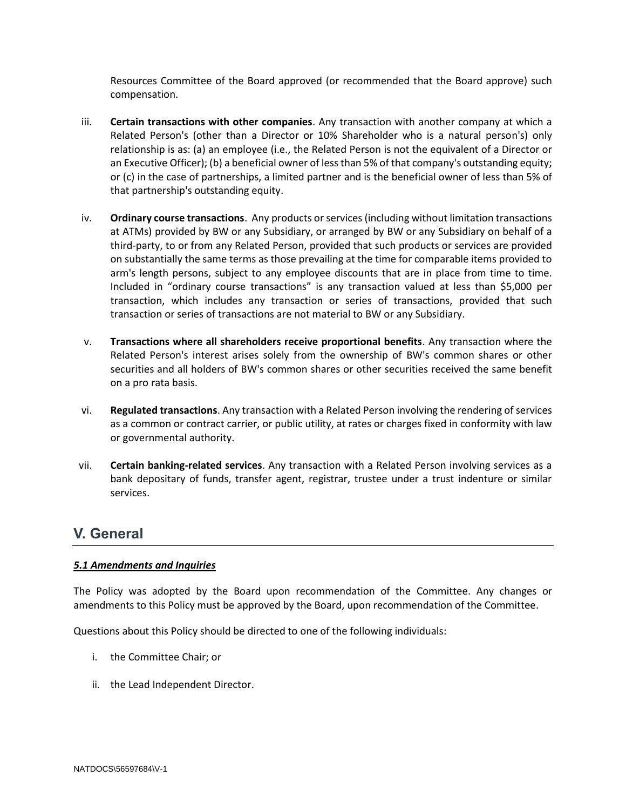Resources Committee of the Board approved (or recommended that the Board approve) such compensation.

- iii. **Certain transactions with other companies**. Any transaction with another company at which a Related Person's (other than a Director or 10% Shareholder who is a natural person's) only relationship is as: (a) an employee (i.e., the Related Person is not the equivalent of a Director or an Executive Officer); (b) a beneficial owner of less than 5% of that company's outstanding equity; or (c) in the case of partnerships, a limited partner and is the beneficial owner of less than 5% of that partnership's outstanding equity.
- iv. **Ordinary course transactions**. Any products or services (including without limitation transactions at ATMs) provided by BW or any Subsidiary, or arranged by BW or any Subsidiary on behalf of a third-party, to or from any Related Person, provided that such products or services are provided on substantially the same terms as those prevailing at the time for comparable items provided to arm's length persons, subject to any employee discounts that are in place from time to time. Included in "ordinary course transactions" is any transaction valued at less than \$5,000 per transaction, which includes any transaction or series of transactions, provided that such transaction or series of transactions are not material to BW or any Subsidiary.
- v. **Transactions where all shareholders receive proportional benefits**. Any transaction where the Related Person's interest arises solely from the ownership of BW's common shares or other securities and all holders of BW's common shares or other securities received the same benefit on a pro rata basis.
- vi. **Regulated transactions**. Any transaction with a Related Person involving the rendering of services as a common or contract carrier, or public utility, at rates or charges fixed in conformity with law or governmental authority.
- vii. **Certain banking-related services**. Any transaction with a Related Person involving services as a bank depositary of funds, transfer agent, registrar, trustee under a trust indenture or similar services.

## **V. General**

#### *5.1 Amendments and Inquiries*

The Policy was adopted by the Board upon recommendation of the Committee. Any changes or amendments to this Policy must be approved by the Board, upon recommendation of the Committee.

Questions about this Policy should be directed to one of the following individuals:

- i. the Committee Chair; or
- ii. the Lead Independent Director.